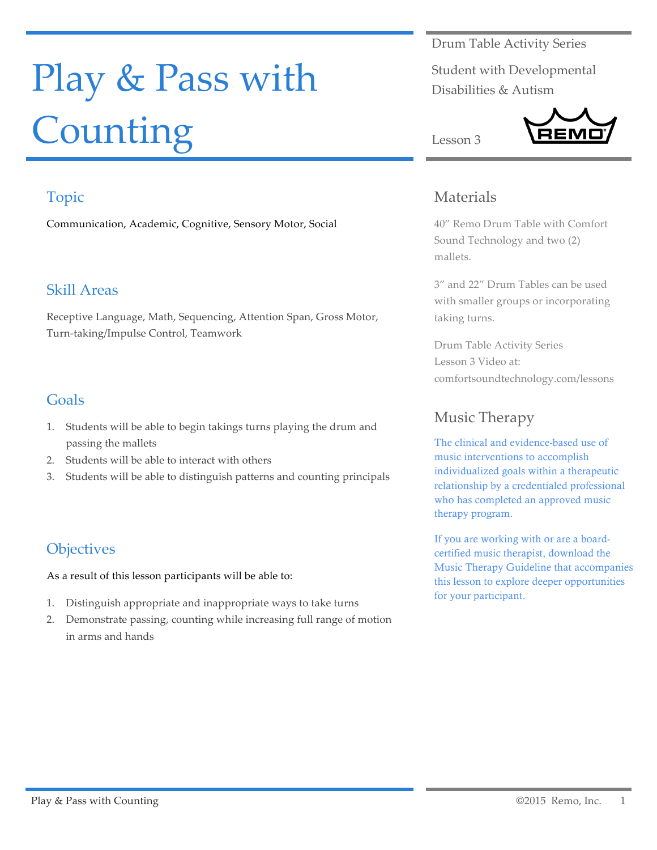# Play & Pass with Counting

# Topic

Communication, Academic, Cognitive, Sensory Motor, Social

#### Skill Areas

Receptive Language, Math, Sequencing, Attention Span, Gross Motor, Turn-taking/Impulse Control, Teamwork

## Goals

- 1. Students will be able to begin takings turns playing the drum and passing the mallets
- 2. Students will be able to interact with others
- 3. Students will be able to distinguish patterns and counting principals

# **Objectives**

As a result of this lesson participants will be able to:

- 1. Distinguish appropriate and inappropriate ways to take turns
- 2. Demonstrate passing, counting while increasing full range of motion in arms and hands

Drum Table Activity Series

Student with Developmental Disabilities & Autism



#### Materials

Lesson 3

40" Remo Drum Table with Comfort Sound Technology and two (2) mallets.

3" and 22" Drum Tables can be used with smaller groups or incorporating taking turns.

Drum Table Activity Series Lesson 3 Video at: comfortsoundtechnology.com/lessons

# Music Therapy

The clinical and evidence-based use of music interventions to accomplish individualized goals within a therapeutic relationship by a credentialed professional who has completed an approved music therapy program.

If you are working with or are a boardcertified music therapist, download the Music Therapy Guideline that accompanies this lesson to explore deeper opportunities for your participant.